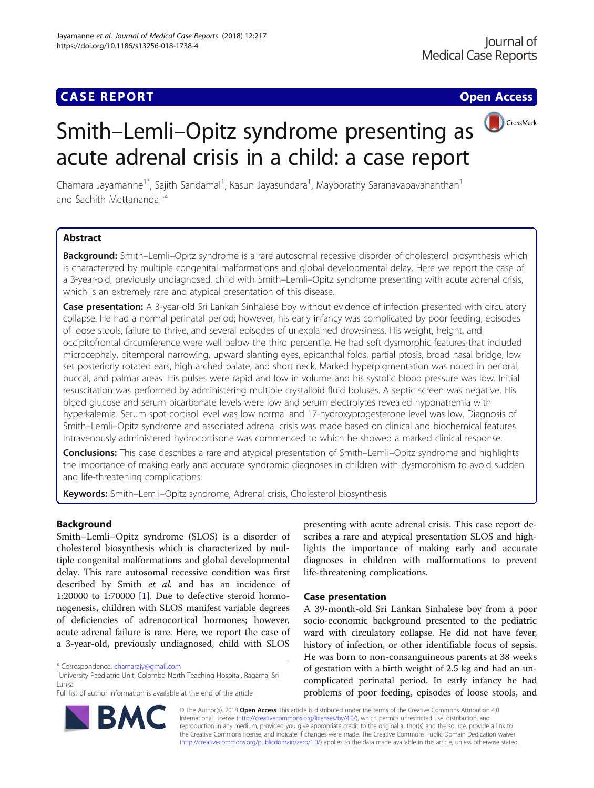## **CASE REPORT CASE ACCESS**

CrossMark

# Smith–Lemli–Opitz syndrome presenting as acute adrenal crisis in a child: a case report

Chamara Jayamanne<sup>1\*</sup>, Sajith Sandamal<sup>1</sup>, Kasun Jayasundara<sup>1</sup>, Mayoorathy Saranavabavananthan<sup>1</sup> and Sachith Mettananda<sup>1,2</sup>

## Abstract

Background: Smith–Lemli–Opitz syndrome is a rare autosomal recessive disorder of cholesterol biosynthesis which is characterized by multiple congenital malformations and global developmental delay. Here we report the case of a 3-year-old, previously undiagnosed, child with Smith–Lemli–Opitz syndrome presenting with acute adrenal crisis, which is an extremely rare and atypical presentation of this disease.

Case presentation: A 3-year-old Sri Lankan Sinhalese boy without evidence of infection presented with circulatory collapse. He had a normal perinatal period; however, his early infancy was complicated by poor feeding, episodes of loose stools, failure to thrive, and several episodes of unexplained drowsiness. His weight, height, and occipitofrontal circumference were well below the third percentile. He had soft dysmorphic features that included microcephaly, bitemporal narrowing, upward slanting eyes, epicanthal folds, partial ptosis, broad nasal bridge, low set posteriorly rotated ears, high arched palate, and short neck. Marked hyperpigmentation was noted in perioral, buccal, and palmar areas. His pulses were rapid and low in volume and his systolic blood pressure was low. Initial resuscitation was performed by administering multiple crystalloid fluid boluses. A septic screen was negative. His blood glucose and serum bicarbonate levels were low and serum electrolytes revealed hyponatremia with hyperkalemia. Serum spot cortisol level was low normal and 17-hydroxyprogesterone level was low. Diagnosis of Smith–Lemli–Opitz syndrome and associated adrenal crisis was made based on clinical and biochemical features. Intravenously administered hydrocortisone was commenced to which he showed a marked clinical response.

Conclusions: This case describes a rare and atypical presentation of Smith–Lemli–Opitz syndrome and highlights the importance of making early and accurate syndromic diagnoses in children with dysmorphism to avoid sudden and life-threatening complications.

Keywords: Smith-Lemli-Opitz syndrome, Adrenal crisis, Cholesterol biosynthesis

## Background

Smith–Lemli–Opitz syndrome (SLOS) is a disorder of cholesterol biosynthesis which is characterized by multiple congenital malformations and global developmental delay. This rare autosomal recessive condition was first described by Smith et al. and has an incidence of 1:20000 to 1:70000 [\[1](#page-2-0)]. Due to defective steroid hormonogenesis, children with SLOS manifest variable degrees of deficiencies of adrenocortical hormones; however, acute adrenal failure is rare. Here, we report the case of a 3-year-old, previously undiagnosed, child with SLOS

presenting with acute adrenal crisis. This case report describes a rare and atypical presentation SLOS and highlights the importance of making early and accurate diagnoses in children with malformations to prevent life-threatening complications.

## Case presentation

A 39-month-old Sri Lankan Sinhalese boy from a poor socio-economic background presented to the pediatric ward with circulatory collapse. He did not have fever, history of infection, or other identifiable focus of sepsis. He was born to non-consanguineous parents at 38 weeks of gestation with a birth weight of 2.5 kg and had an uncomplicated perinatal period. In early infancy he had problems of poor feeding, episodes of loose stools, and

© The Author(s). 2018 Open Access This article is distributed under the terms of the Creative Commons Attribution 4.0 International License [\(http://creativecommons.org/licenses/by/4.0/](http://creativecommons.org/licenses/by/4.0/)), which permits unrestricted use, distribution, and reproduction in any medium, provided you give appropriate credit to the original author(s) and the source, provide a link to the Creative Commons license, and indicate if changes were made. The Creative Commons Public Domain Dedication waiver [\(http://creativecommons.org/publicdomain/zero/1.0/](http://creativecommons.org/publicdomain/zero/1.0/)) applies to the data made available in this article, unless otherwise stated.



<sup>\*</sup> Correspondence: [chamarajy@gmail.com](mailto:chamarajy@gmail.com) <sup>1</sup>

<sup>&</sup>lt;sup>1</sup>University Paediatric Unit, Colombo North Teaching Hospital, Ragama, Sri Lanka

Full list of author information is available at the end of the article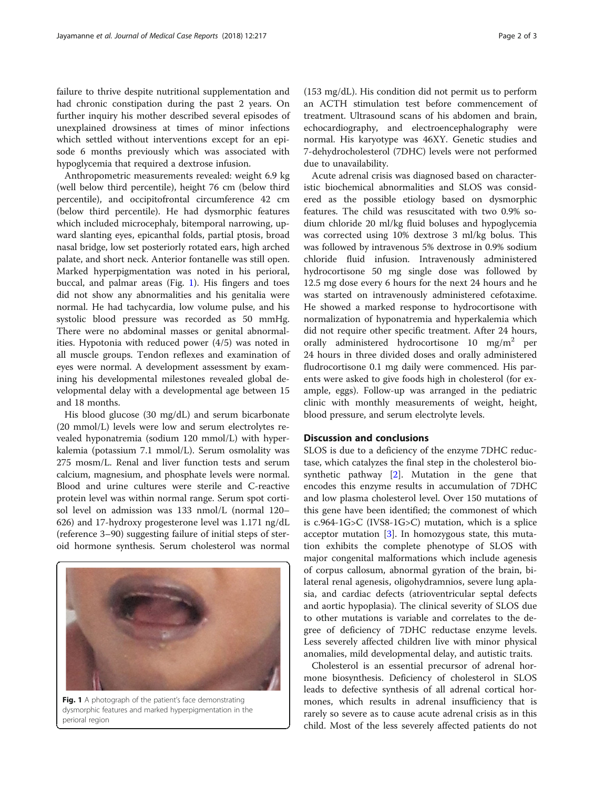failure to thrive despite nutritional supplementation and had chronic constipation during the past 2 years. On further inquiry his mother described several episodes of unexplained drowsiness at times of minor infections which settled without interventions except for an episode 6 months previously which was associated with hypoglycemia that required a dextrose infusion.

Anthropometric measurements revealed: weight 6.9 kg (well below third percentile), height 76 cm (below third percentile), and occipitofrontal circumference 42 cm (below third percentile). He had dysmorphic features which included microcephaly, bitemporal narrowing, upward slanting eyes, epicanthal folds, partial ptosis, broad nasal bridge, low set posteriorly rotated ears, high arched palate, and short neck. Anterior fontanelle was still open. Marked hyperpigmentation was noted in his perioral, buccal, and palmar areas (Fig. 1). His fingers and toes did not show any abnormalities and his genitalia were normal. He had tachycardia, low volume pulse, and his systolic blood pressure was recorded as 50 mmHg. There were no abdominal masses or genital abnormalities. Hypotonia with reduced power (4/5) was noted in all muscle groups. Tendon reflexes and examination of eyes were normal. A development assessment by examining his developmental milestones revealed global developmental delay with a developmental age between 15 and 18 months.

His blood glucose (30 mg/dL) and serum bicarbonate (20 mmol/L) levels were low and serum electrolytes revealed hyponatremia (sodium 120 mmol/L) with hyperkalemia (potassium 7.1 mmol/L). Serum osmolality was 275 mosm/L. Renal and liver function tests and serum calcium, magnesium, and phosphate levels were normal. Blood and urine cultures were sterile and C-reactive protein level was within normal range. Serum spot cortisol level on admission was 133 nmol/L (normal 120– 626) and 17-hydroxy progesterone level was 1.171 ng/dL (reference 3–90) suggesting failure of initial steps of steroid hormone synthesis. Serum cholesterol was normal



Fig. 1 A photograph of the patient's face demonstrating dysmorphic features and marked hyperpigmentation in the perioral region

(153 mg/dL). His condition did not permit us to perform an ACTH stimulation test before commencement of treatment. Ultrasound scans of his abdomen and brain, echocardiography, and electroencephalography were normal. His karyotype was 46XY. Genetic studies and 7-dehydrocholesterol (7DHC) levels were not performed due to unavailability.

Acute adrenal crisis was diagnosed based on characteristic biochemical abnormalities and SLOS was considered as the possible etiology based on dysmorphic features. The child was resuscitated with two 0.9% sodium chloride 20 ml/kg fluid boluses and hypoglycemia was corrected using 10% dextrose 3 ml/kg bolus. This was followed by intravenous 5% dextrose in 0.9% sodium chloride fluid infusion. Intravenously administered hydrocortisone 50 mg single dose was followed by 12.5 mg dose every 6 hours for the next 24 hours and he was started on intravenously administered cefotaxime. He showed a marked response to hydrocortisone with normalization of hyponatremia and hyperkalemia which did not require other specific treatment. After 24 hours, orally administered hydrocortisone 10 mg/m<sup>2</sup> per 24 hours in three divided doses and orally administered fludrocortisone 0.1 mg daily were commenced. His parents were asked to give foods high in cholesterol (for example, eggs). Follow-up was arranged in the pediatric clinic with monthly measurements of weight, height, blood pressure, and serum electrolyte levels.

#### Discussion and conclusions

SLOS is due to a deficiency of the enzyme 7DHC reductase, which catalyzes the final step in the cholesterol biosynthetic pathway [\[2](#page-2-0)]. Mutation in the gene that encodes this enzyme results in accumulation of 7DHC and low plasma cholesterol level. Over 150 mutations of this gene have been identified; the commonest of which is c.964-1G>C (IVS8-1G>C) mutation, which is a splice acceptor mutation  $[3]$  $[3]$ . In homozygous state, this mutation exhibits the complete phenotype of SLOS with major congenital malformations which include agenesis of corpus callosum, abnormal gyration of the brain, bilateral renal agenesis, oligohydramnios, severe lung aplasia, and cardiac defects (atrioventricular septal defects and aortic hypoplasia). The clinical severity of SLOS due to other mutations is variable and correlates to the degree of deficiency of 7DHC reductase enzyme levels. Less severely affected children live with minor physical anomalies, mild developmental delay, and autistic traits.

Cholesterol is an essential precursor of adrenal hormone biosynthesis. Deficiency of cholesterol in SLOS leads to defective synthesis of all adrenal cortical hormones, which results in adrenal insufficiency that is rarely so severe as to cause acute adrenal crisis as in this child. Most of the less severely affected patients do not